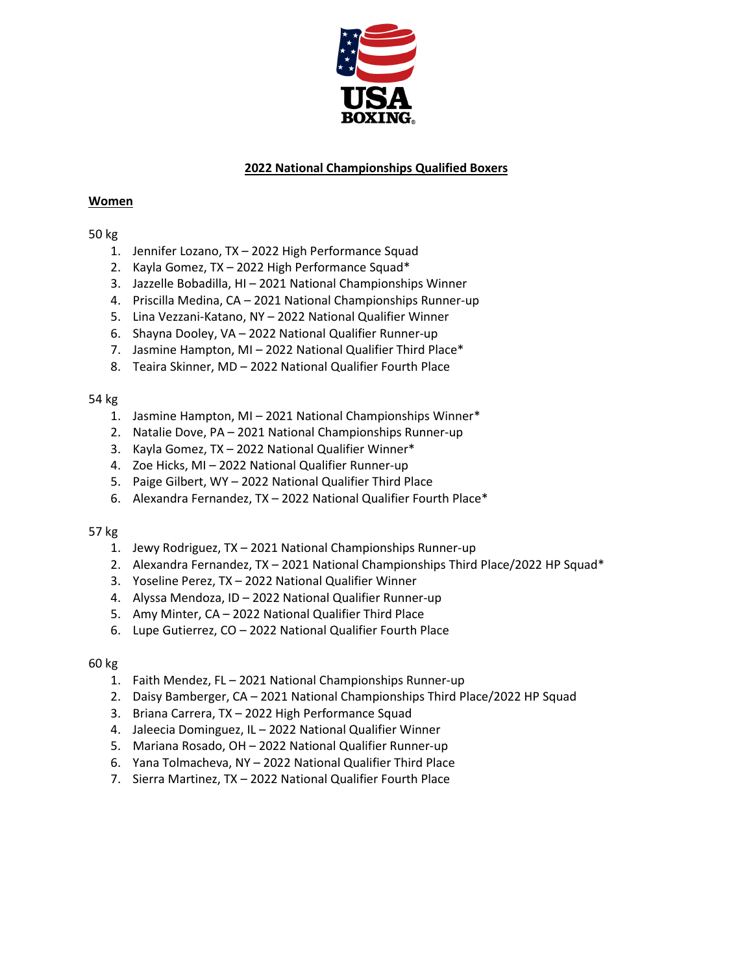

# **2022 National Championships Qualified Boxers**

### **Women**

## 50 kg

- 1. Jennifer Lozano, TX 2022 High Performance Squad
- 2. Kayla Gomez, TX 2022 High Performance Squad\*
- 3. Jazzelle Bobadilla, HI 2021 National Championships Winner
- 4. Priscilla Medina, CA 2021 National Championships Runner-up
- 5. Lina Vezzani-Katano, NY 2022 National Qualifier Winner
- 6. Shayna Dooley, VA 2022 National Qualifier Runner-up
- 7. Jasmine Hampton, MI 2022 National Qualifier Third Place\*
- 8. Teaira Skinner, MD 2022 National Qualifier Fourth Place

## 54 kg

- 1. Jasmine Hampton, MI 2021 National Championships Winner\*
- 2. Natalie Dove, PA 2021 National Championships Runner-up
- 3. Kayla Gomez, TX 2022 National Qualifier Winner\*
- 4. Zoe Hicks, MI 2022 National Qualifier Runner-up
- 5. Paige Gilbert, WY 2022 National Qualifier Third Place
- 6. Alexandra Fernandez, TX 2022 National Qualifier Fourth Place\*

### 57 kg

- 1. Jewy Rodriguez, TX 2021 National Championships Runner-up
- 2. Alexandra Fernandez, TX 2021 National Championships Third Place/2022 HP Squad\*
- 3. Yoseline Perez, TX 2022 National Qualifier Winner
- 4. Alyssa Mendoza, ID 2022 National Qualifier Runner-up
- 5. Amy Minter, CA 2022 National Qualifier Third Place
- 6. Lupe Gutierrez, CO 2022 National Qualifier Fourth Place

### 60 kg

- 1. Faith Mendez, FL 2021 National Championships Runner-up
- 2. Daisy Bamberger, CA 2021 National Championships Third Place/2022 HP Squad
- 3. Briana Carrera, TX 2022 High Performance Squad
- 4. Jaleecia Dominguez, IL 2022 National Qualifier Winner
- 5. Mariana Rosado, OH 2022 National Qualifier Runner-up
- 6. Yana Tolmacheva, NY 2022 National Qualifier Third Place
- 7. Sierra Martinez, TX 2022 National Qualifier Fourth Place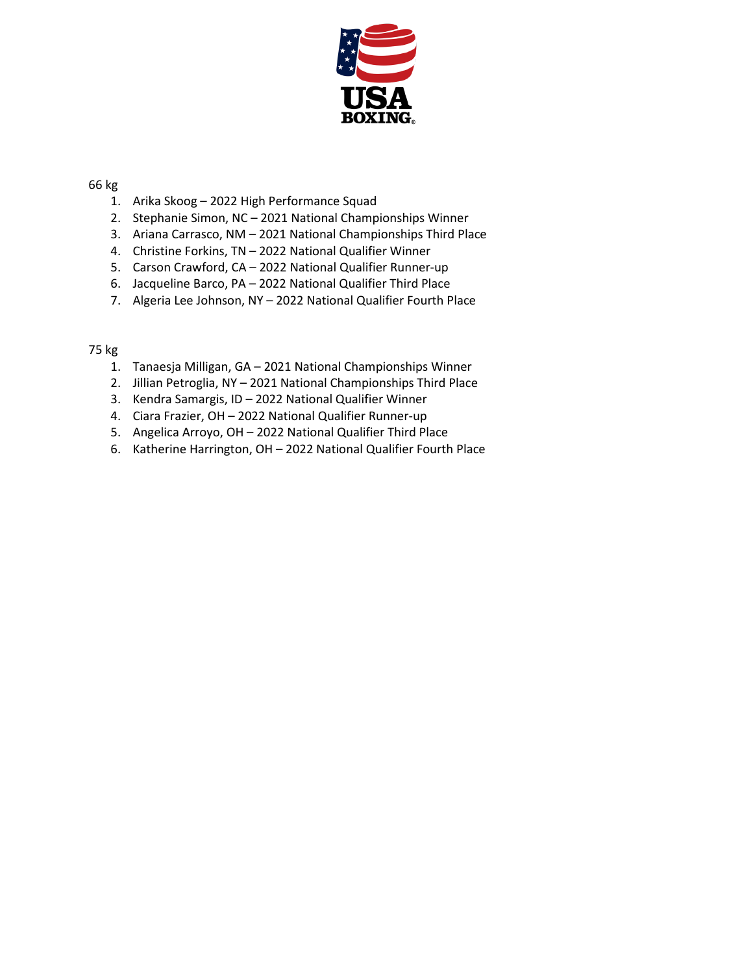

### 66 kg

- 1. Arika Skoog 2022 High Performance Squad
- 2. Stephanie Simon, NC 2021 National Championships Winner
- 3. Ariana Carrasco, NM 2021 National Championships Third Place
- 4. Christine Forkins, TN 2022 National Qualifier Winner
- 5. Carson Crawford, CA 2022 National Qualifier Runner-up
- 6. Jacqueline Barco, PA 2022 National Qualifier Third Place
- 7. Algeria Lee Johnson, NY 2022 National Qualifier Fourth Place

### 75 kg

- 1. Tanaesja Milligan, GA 2021 National Championships Winner
- 2. Jillian Petroglia, NY 2021 National Championships Third Place
- 3. Kendra Samargis, ID 2022 National Qualifier Winner
- 4. Ciara Frazier, OH 2022 National Qualifier Runner-up
- 5. Angelica Arroyo, OH 2022 National Qualifier Third Place
- 6. Katherine Harrington, OH 2022 National Qualifier Fourth Place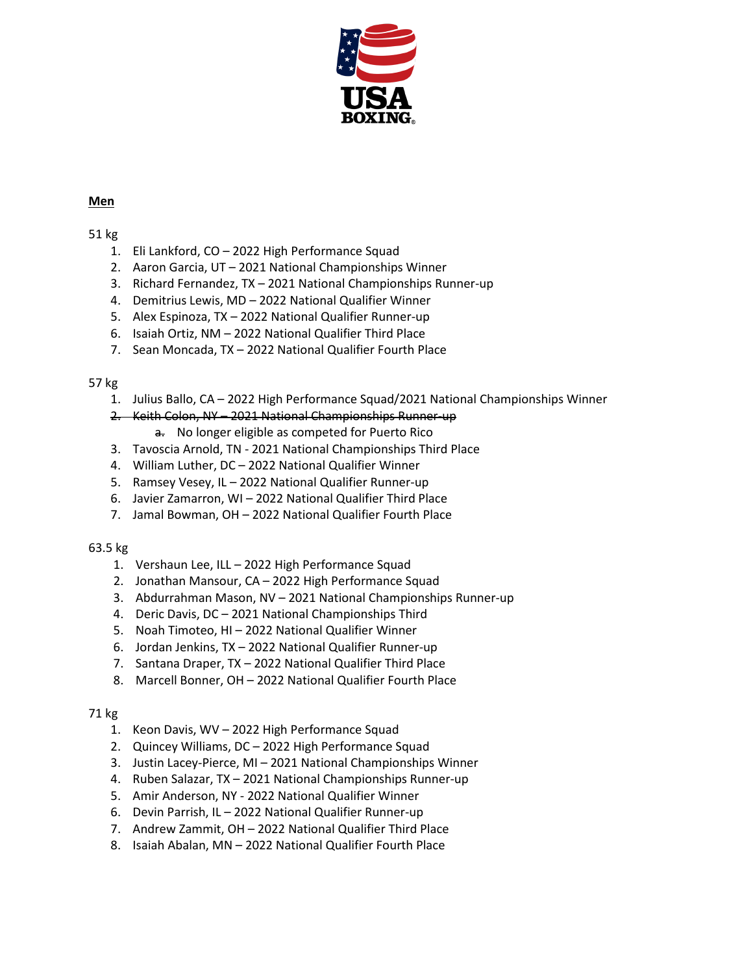

## **Men**

## 51 kg

- 1. Eli Lankford, CO 2022 High Performance Squad
- 2. Aaron Garcia, UT 2021 National Championships Winner
- 3. Richard Fernandez, TX 2021 National Championships Runner-up
- 4. Demitrius Lewis, MD 2022 National Qualifier Winner
- 5. Alex Espinoza, TX 2022 National Qualifier Runner-up
- 6. Isaiah Ortiz, NM 2022 National Qualifier Third Place
- 7. Sean Moncada, TX 2022 National Qualifier Fourth Place

# 57 kg

- 1. Julius Ballo, CA 2022 High Performance Squad/2021 National Championships Winner
- 2. Keith Colon, NY 2021 National Championships Runner-up
	- a. No longer eligible as competed for Puerto Rico
- 3. Tavoscia Arnold, TN 2021 National Championships Third Place
- 4. William Luther, DC 2022 National Qualifier Winner
- 5. Ramsey Vesey, IL 2022 National Qualifier Runner-up
- 6. Javier Zamarron, WI 2022 National Qualifier Third Place
- 7. Jamal Bowman, OH 2022 National Qualifier Fourth Place

# 63.5 kg

- 1. Vershaun Lee, ILL 2022 High Performance Squad
- 2. Jonathan Mansour, CA 2022 High Performance Squad
- 3. Abdurrahman Mason, NV 2021 National Championships Runner-up
- 4. Deric Davis, DC 2021 National Championships Third
- 5. Noah Timoteo, HI 2022 National Qualifier Winner
- 6. Jordan Jenkins, TX 2022 National Qualifier Runner-up
- 7. Santana Draper, TX 2022 National Qualifier Third Place
- 8. Marcell Bonner, OH 2022 National Qualifier Fourth Place

# 71 kg

- 1. Keon Davis, WV 2022 High Performance Squad
- 2. Quincey Williams, DC 2022 High Performance Squad
- 3. Justin Lacey-Pierce, MI 2021 National Championships Winner
- 4. Ruben Salazar, TX 2021 National Championships Runner-up
- 5. Amir Anderson, NY 2022 National Qualifier Winner
- 6. Devin Parrish, IL 2022 National Qualifier Runner-up
- 7. Andrew Zammit, OH 2022 National Qualifier Third Place
- 8. Isaiah Abalan, MN 2022 National Qualifier Fourth Place